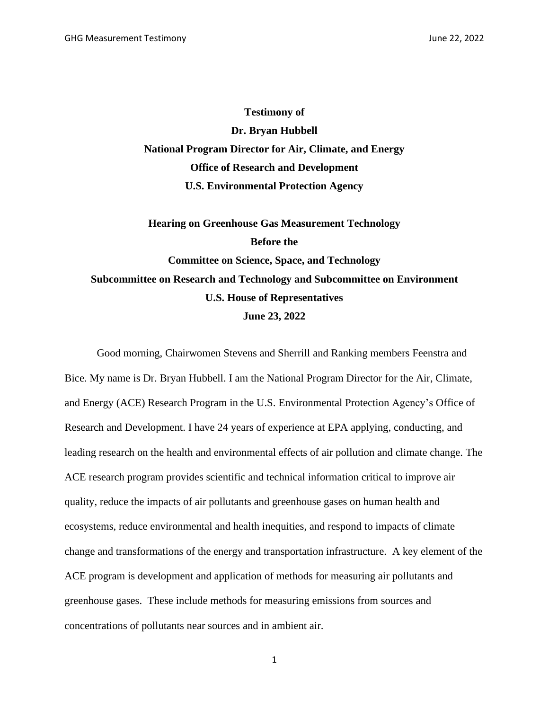**Testimony of Dr. Bryan Hubbell National Program Director for Air, Climate, and Energy Office of Research and Development U.S. Environmental Protection Agency**

**Hearing on Greenhouse Gas Measurement Technology Before the Committee on Science, Space, and Technology Subcommittee on Research and Technology and Subcommittee on Environment U.S. House of Representatives June 23, 2022**

Good morning, Chairwomen Stevens and Sherrill and Ranking members Feenstra and Bice. My name is Dr. Bryan Hubbell. I am the National Program Director for the Air, Climate, and Energy (ACE) Research Program in the U.S. Environmental Protection Agency's Office of Research and Development. I have 24 years of experience at EPA applying, conducting, and leading research on the health and environmental effects of air pollution and climate change. The ACE research program provides scientific and technical information critical to improve air quality, reduce the impacts of air pollutants and greenhouse gases on human health and ecosystems, reduce environmental and health inequities, and respond to impacts of climate change and transformations of the energy and transportation infrastructure. A key element of the ACE program is development and application of methods for measuring air pollutants and greenhouse gases. These include methods for measuring emissions from sources and concentrations of pollutants near sources and in ambient air.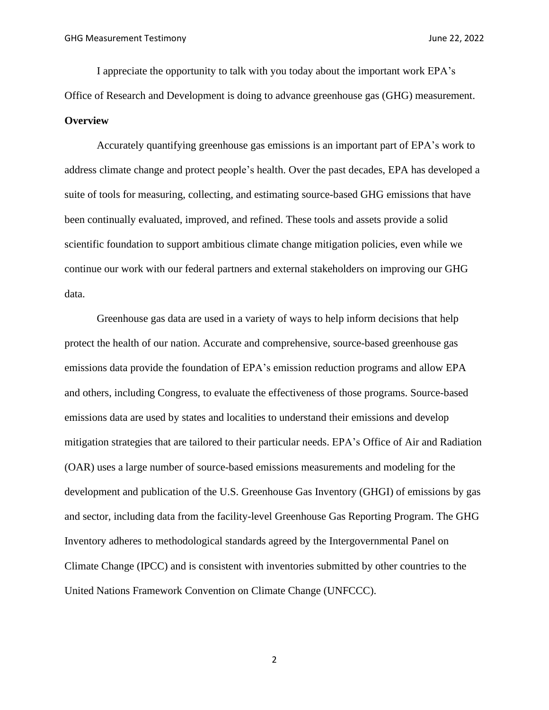I appreciate the opportunity to talk with you today about the important work EPA's Office of Research and Development is doing to advance greenhouse gas (GHG) measurement. **Overview**

Accurately quantifying greenhouse gas emissions is an important part of EPA's work to address climate change and protect people's health. Over the past decades, EPA has developed a suite of tools for measuring, collecting, and estimating source-based GHG emissions that have been continually evaluated, improved, and refined. These tools and assets provide a solid scientific foundation to support ambitious climate change mitigation policies, even while we continue our work with our federal partners and external stakeholders on improving our GHG data.

Greenhouse gas data are used in a variety of ways to help inform decisions that help protect the health of our nation. Accurate and comprehensive, source-based greenhouse gas emissions data provide the foundation of EPA's emission reduction programs and allow EPA and others, including Congress, to evaluate the effectiveness of those programs. Source-based emissions data are used by states and localities to understand their emissions and develop mitigation strategies that are tailored to their particular needs. EPA's Office of Air and Radiation (OAR) uses a large number of source-based emissions measurements and modeling for the development and publication of the U.S. Greenhouse Gas Inventory (GHGI) of emissions by gas and sector, including data from the facility-level Greenhouse Gas Reporting Program. The GHG Inventory adheres to methodological standards agreed by the Intergovernmental Panel on Climate Change (IPCC) and is consistent with inventories submitted by other countries to the United Nations Framework Convention on Climate Change (UNFCCC).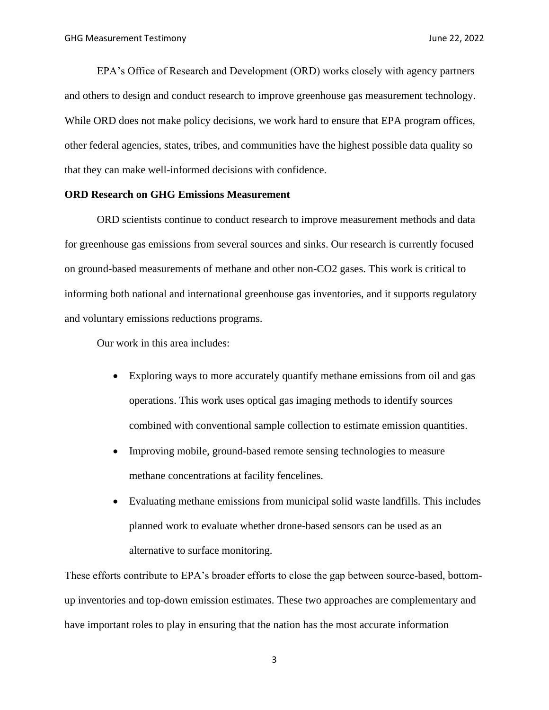EPA's Office of Research and Development (ORD) works closely with agency partners and others to design and conduct research to improve greenhouse gas measurement technology. While ORD does not make policy decisions, we work hard to ensure that EPA program offices, other federal agencies, states, tribes, and communities have the highest possible data quality so that they can make well-informed decisions with confidence.

## **ORD Research on GHG Emissions Measurement**

ORD scientists continue to conduct research to improve measurement methods and data for greenhouse gas emissions from several sources and sinks. Our research is currently focused on ground-based measurements of methane and other non-CO2 gases. This work is critical to informing both national and international greenhouse gas inventories, and it supports regulatory and voluntary emissions reductions programs.

Our work in this area includes:

- Exploring ways to more accurately quantify methane emissions from oil and gas operations. This work uses optical gas imaging methods to identify sources combined with conventional sample collection to estimate emission quantities.
- Improving mobile, ground-based remote sensing technologies to measure methane concentrations at facility fencelines.
- Evaluating methane emissions from municipal solid waste landfills. This includes planned work to evaluate whether drone-based sensors can be used as an alternative to surface monitoring.

These efforts contribute to EPA's broader efforts to close the gap between source-based, bottomup inventories and top-down emission estimates. These two approaches are complementary and have important roles to play in ensuring that the nation has the most accurate information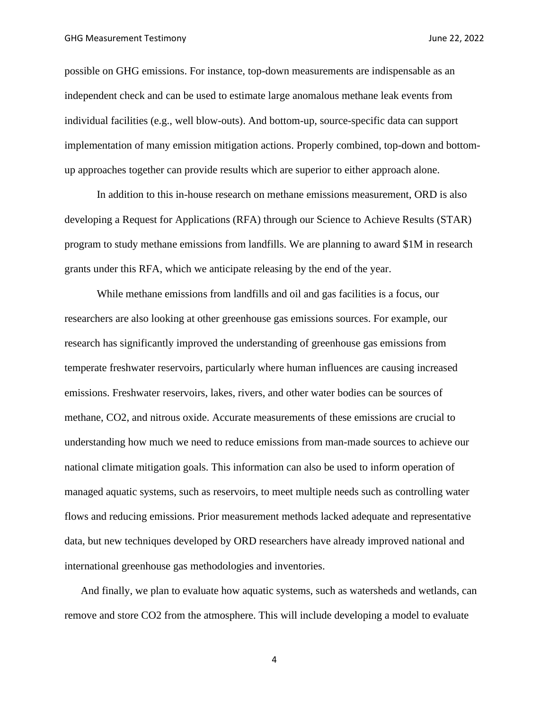possible on GHG emissions. For instance, top-down measurements are indispensable as an independent check and can be used to estimate large anomalous methane leak events from individual facilities (e.g., well blow-outs). And bottom-up, source-specific data can support implementation of many emission mitigation actions. Properly combined, top-down and bottomup approaches together can provide results which are superior to either approach alone.

In addition to this in-house research on methane emissions measurement, ORD is also developing a Request for Applications (RFA) through our Science to Achieve Results (STAR) program to study methane emissions from landfills. We are planning to award \$1M in research grants under this RFA, which we anticipate releasing by the end of the year.

While methane emissions from landfills and oil and gas facilities is a focus, our researchers are also looking at other greenhouse gas emissions sources. For example, our research has significantly improved the understanding of greenhouse gas emissions from temperate freshwater reservoirs, particularly where human influences are causing increased emissions. Freshwater reservoirs, lakes, rivers, and other water bodies can be sources of methane, CO2, and nitrous oxide. Accurate measurements of these emissions are crucial to understanding how much we need to reduce emissions from man-made sources to achieve our national climate mitigation goals. This information can also be used to inform operation of managed aquatic systems, such as reservoirs, to meet multiple needs such as controlling water flows and reducing emissions. Prior measurement methods lacked adequate and representative data, but new techniques developed by ORD researchers have already improved national and international greenhouse gas methodologies and inventories.

And finally, we plan to evaluate how aquatic systems, such as watersheds and wetlands, can remove and store CO2 from the atmosphere. This will include developing a model to evaluate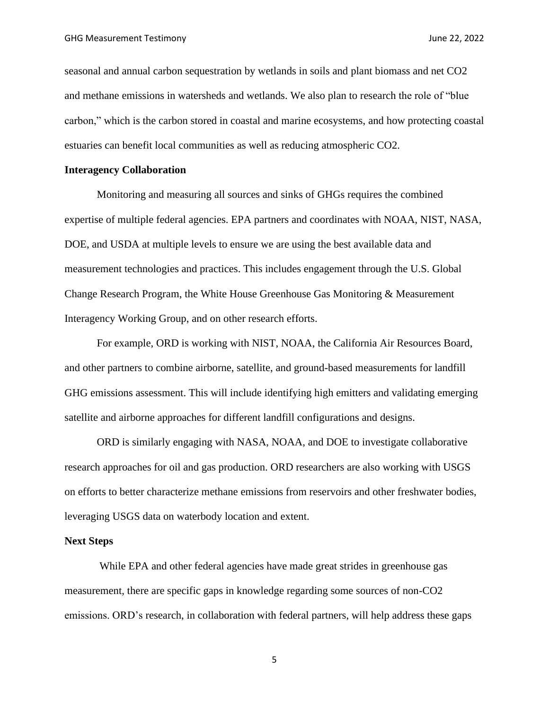seasonal and annual carbon sequestration by wetlands in soils and plant biomass and net CO2 and methane emissions in watersheds and wetlands. We also plan to research the role of "blue carbon," which is the carbon stored in coastal and marine ecosystems, and how protecting coastal estuaries can benefit local communities as well as reducing atmospheric CO2.

# **Interagency Collaboration**

Monitoring and measuring all sources and sinks of GHGs requires the combined expertise of multiple federal agencies. EPA partners and coordinates with NOAA, NIST, NASA, DOE, and USDA at multiple levels to ensure we are using the best available data and measurement technologies and practices. This includes engagement through the U.S. Global Change Research Program, the White House Greenhouse Gas Monitoring & Measurement Interagency Working Group, and on other research efforts.

For example, ORD is working with NIST, NOAA, the California Air Resources Board, and other partners to combine airborne, satellite, and ground-based measurements for landfill GHG emissions assessment. This will include identifying high emitters and validating emerging satellite and airborne approaches for different landfill configurations and designs.

ORD is similarly engaging with NASA, NOAA, and DOE to investigate collaborative research approaches for oil and gas production. ORD researchers are also working with USGS on efforts to better characterize methane emissions from reservoirs and other freshwater bodies, leveraging USGS data on waterbody location and extent.

### **Next Steps**

While EPA and other federal agencies have made great strides in greenhouse gas measurement, there are specific gaps in knowledge regarding some sources of non-CO2 emissions. ORD's research, in collaboration with federal partners, will help address these gaps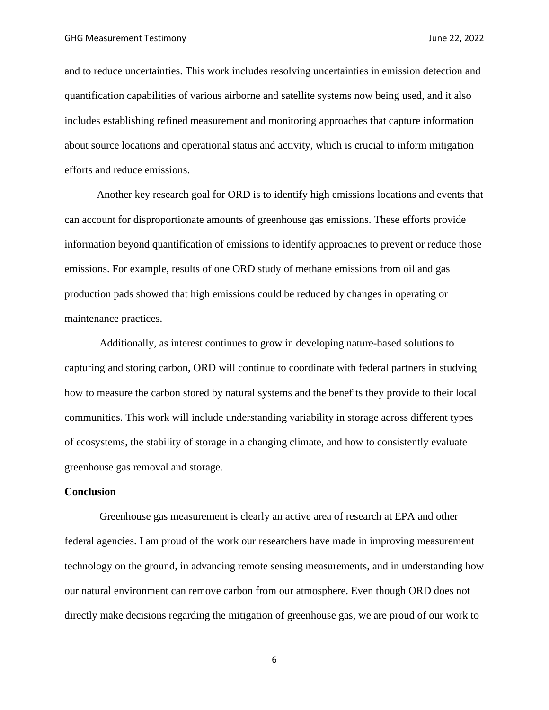and to reduce uncertainties. This work includes resolving uncertainties in emission detection and quantification capabilities of various airborne and satellite systems now being used, and it also includes establishing refined measurement and monitoring approaches that capture information about source locations and operational status and activity, which is crucial to inform mitigation efforts and reduce emissions.

Another key research goal for ORD is to identify high emissions locations and events that can account for disproportionate amounts of greenhouse gas emissions. These efforts provide information beyond quantification of emissions to identify approaches to prevent or reduce those emissions. For example, results of one ORD study of methane emissions from oil and gas production pads showed that high emissions could be reduced by changes in operating or maintenance practices.

Additionally, as interest continues to grow in developing nature-based solutions to capturing and storing carbon, ORD will continue to coordinate with federal partners in studying how to measure the carbon stored by natural systems and the benefits they provide to their local communities. This work will include understanding variability in storage across different types of ecosystems, the stability of storage in a changing climate, and how to consistently evaluate greenhouse gas removal and storage.

## **Conclusion**

Greenhouse gas measurement is clearly an active area of research at EPA and other federal agencies. I am proud of the work our researchers have made in improving measurement technology on the ground, in advancing remote sensing measurements, and in understanding how our natural environment can remove carbon from our atmosphere. Even though ORD does not directly make decisions regarding the mitigation of greenhouse gas, we are proud of our work to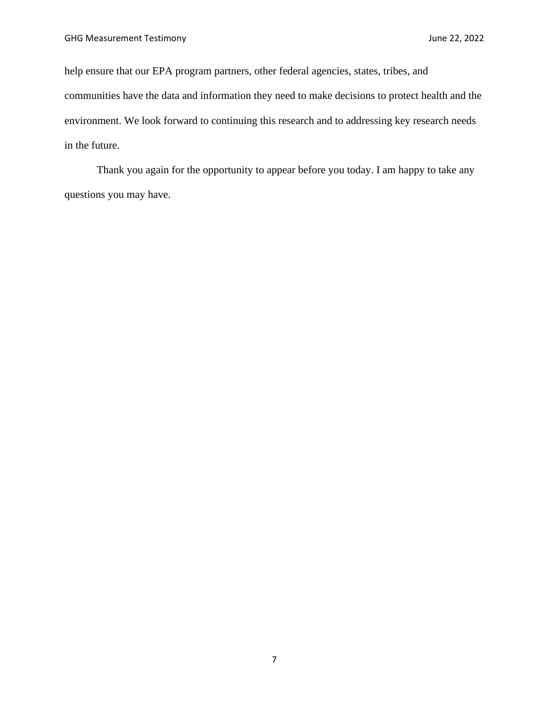help ensure that our EPA program partners, other federal agencies, states, tribes, and communities have the data and information they need to make decisions to protect health and the environment. We look forward to continuing this research and to addressing key research needs in the future.

Thank you again for the opportunity to appear before you today. I am happy to take any questions you may have.